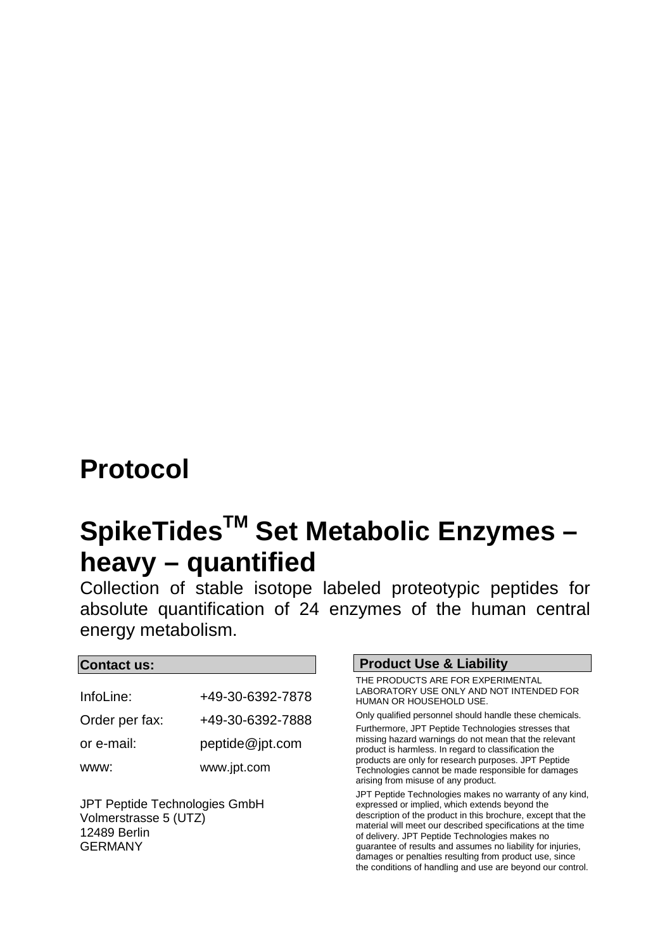## **Protocol**

# SpikeTides<sup>™</sup> Set Metabolic Enzymes **heavy – quantified**

Collection of stable isotope labeled proteotypic peptides for absolute quantification of 24 enzymes of the human central energy metabolism.

#### **Contact us:**

| InfoLine:      | +49-30-6392-7878 |
|----------------|------------------|
| Order per fax: | +49-30-6392-7888 |
| or e-mail:     | peptide@jpt.com  |
| WWW:           | www.jpt.com      |

JPT Peptide Technologies GmbH Volmerstrasse 5 (UTZ) 12489 Berlin GERMANY

#### **Product Use & Liability**

THE PRODUCTS ARE FOR EXPERIMENTAL LABORATORY USE ONLY AND NOT INTENDED FOR HUMAN OR HOUSEHOLD USE.

Only qualified personnel should handle these chemicals. Furthermore, JPT Peptide Technologies stresses that missing hazard warnings do not mean that the relevant product is harmless. In regard to classification the products are only for research purposes. JPT Peptide Technologies cannot be made responsible for damages arising from misuse of any product.

JPT Peptide Technologies makes no warranty of any kind, expressed or implied, which extends beyond the description of the product in this brochure, except that the material will meet our described specifications at the time of delivery. JPT Peptide Technologies makes no guarantee of results and assumes no liability for injuries, damages or penalties resulting from product use, since the conditions of handling and use are beyond our control.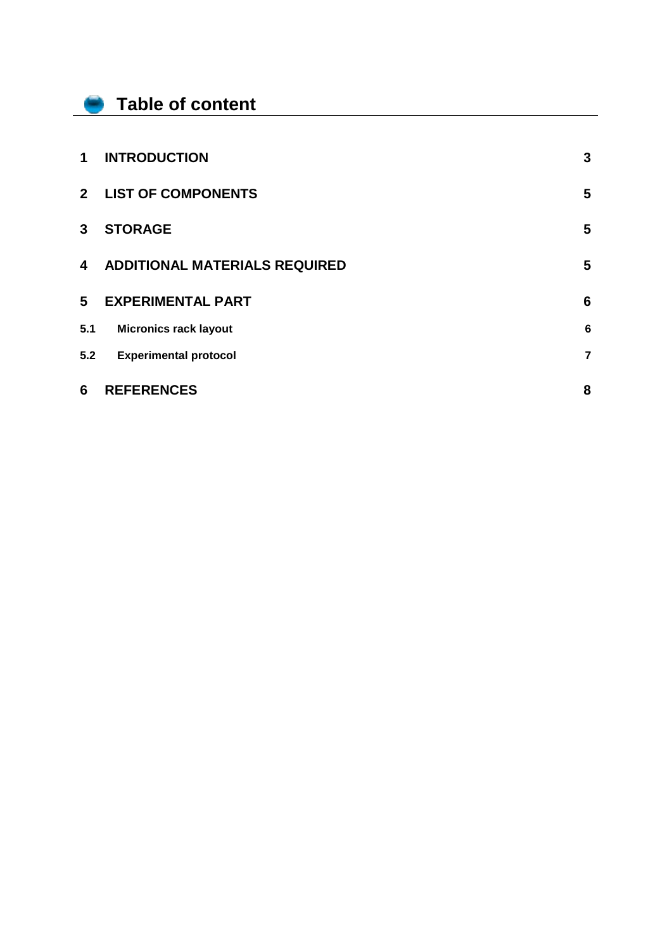#### **Table of content**

f

| 5.2            | <b>Experimental protocol</b>         | $\overline{7}$ |
|----------------|--------------------------------------|----------------|
| 5.1            | <b>Micronics rack layout</b>         | 6              |
| 5              | <b>EXPERIMENTAL PART</b>             | 6              |
| 4              | <b>ADDITIONAL MATERIALS REQUIRED</b> | 5              |
| 3              | <b>STORAGE</b>                       | 5              |
| 2 <sup>1</sup> | <b>LIST OF COMPONENTS</b>            | 5              |
| 1              | <b>INTRODUCTION</b>                  | 3              |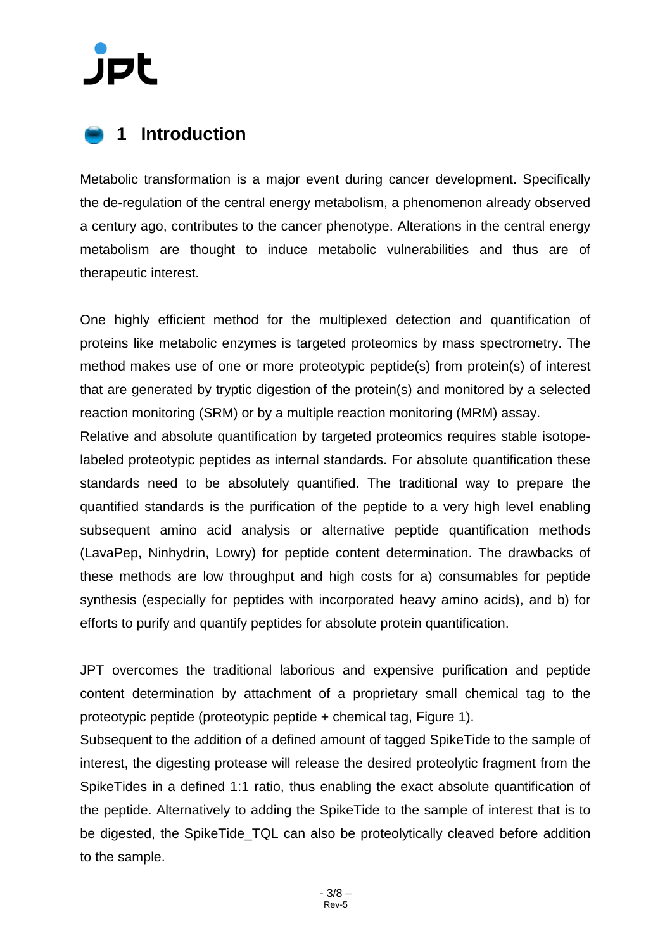### <span id="page-2-0"></span>**1 Introduction**

Metabolic transformation is a major event during cancer development. Specifically the de-regulation of the central energy metabolism, a phenomenon already observed a century ago, contributes to the cancer phenotype. Alterations in the central energy metabolism are thought to induce metabolic vulnerabilities and thus are of therapeutic interest.

One highly efficient method for the multiplexed detection and quantification of proteins like metabolic enzymes is targeted proteomics by mass spectrometry. The method makes use of one or more proteotypic peptide(s) from protein(s) of interest that are generated by tryptic digestion of the protein(s) and monitored by a selected reaction monitoring (SRM) or by a multiple reaction monitoring (MRM) assay.

Relative and absolute quantification by targeted proteomics requires stable isotopelabeled proteotypic peptides as internal standards. For absolute quantification these standards need to be absolutely quantified. The traditional way to prepare the quantified standards is the purification of the peptide to a very high level enabling subsequent amino acid analysis or alternative peptide quantification methods (LavaPep, Ninhydrin, Lowry) for peptide content determination. The drawbacks of these methods are low throughput and high costs for a) consumables for peptide synthesis (especially for peptides with incorporated heavy amino acids), and b) for efforts to purify and quantify peptides for absolute protein quantification.

JPT overcomes the traditional laborious and expensive purification and peptide content determination by attachment of a proprietary small chemical tag to the proteotypic peptide (proteotypic peptide + chemical tag, Figure 1).

Subsequent to the addition of a defined amount of tagged SpikeTide to the sample of interest, the digesting protease will release the desired proteolytic fragment from the SpikeTides in a defined 1:1 ratio, thus enabling the exact absolute quantification of the peptide. Alternatively to adding the SpikeTide to the sample of interest that is to be digested, the SpikeTide TQL can also be proteolytically cleaved before addition to the sample.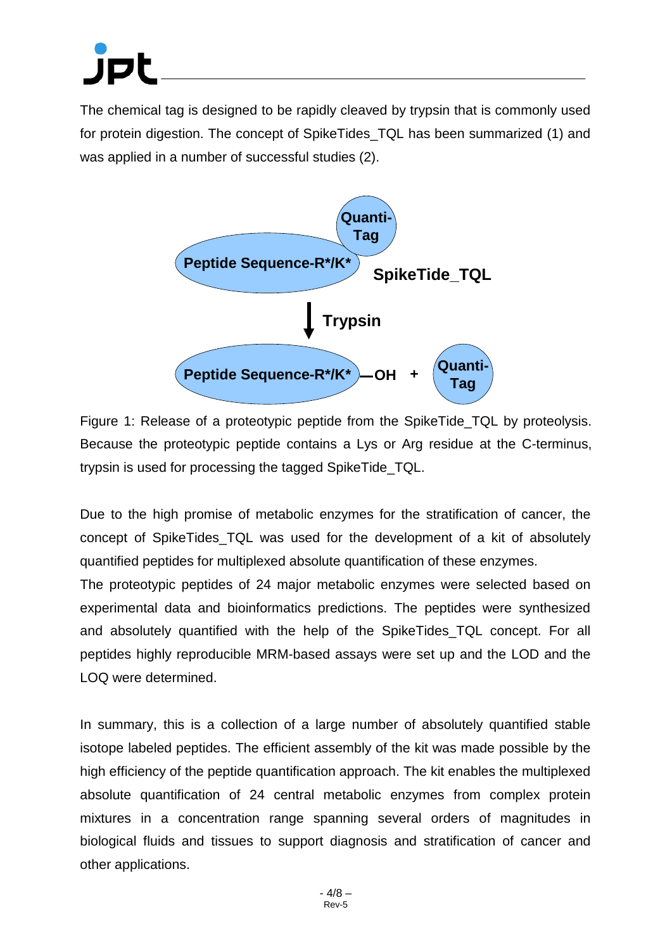The chemical tag is designed to be rapidly cleaved by trypsin that is commonly used for protein digestion. The concept of SpikeTides\_TQL has been summarized (1) and was applied in a number of successful studies (2).



Figure 1: Release of a proteotypic peptide from the SpikeTide\_TQL by proteolysis. Because the proteotypic peptide contains a Lys or Arg residue at the C-terminus, trypsin is used for processing the tagged SpikeTide\_TQL.

Due to the high promise of metabolic enzymes for the stratification of cancer, the concept of SpikeTides\_TQL was used for the development of a kit of absolutely quantified peptides for multiplexed absolute quantification of these enzymes.

The proteotypic peptides of 24 major metabolic enzymes were selected based on experimental data and bioinformatics predictions. The peptides were synthesized and absolutely quantified with the help of the SpikeTides\_TQL concept. For all peptides highly reproducible MRM-based assays were set up and the LOD and the LOQ were determined.

In summary, this is a collection of a large number of absolutely quantified stable isotope labeled peptides. The efficient assembly of the kit was made possible by the high efficiency of the peptide quantification approach. The kit enables the multiplexed absolute quantification of 24 central metabolic enzymes from complex protein mixtures in a concentration range spanning several orders of magnitudes in biological fluids and tissues to support diagnosis and stratification of cancer and other applications.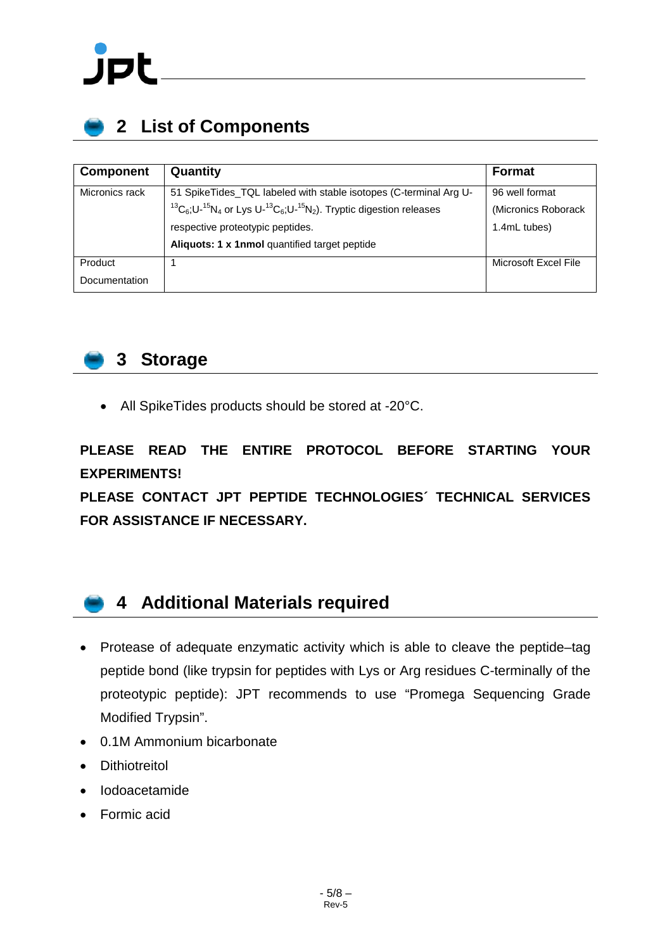

## <span id="page-4-0"></span>**2 List of Components**

| <b>Component</b> | Quantity                                                                                              | <b>Format</b>        |
|------------------|-------------------------------------------------------------------------------------------------------|----------------------|
| Micronics rack   | 51 SpikeTides_TQL labeled with stable isotopes (C-terminal Arg U-                                     | 96 well format       |
|                  | ${}^{13}C_6$ ; U- ${}^{15}N_4$ or Lys U- ${}^{13}C_6$ ; U- ${}^{15}N_2$ ). Tryptic digestion releases | (Micronics Roborack  |
|                  | respective proteotypic peptides.                                                                      | 1.4mL tubes)         |
|                  | Aliquots: 1 x 1nmol quantified target peptide                                                         |                      |
| Product          |                                                                                                       | Microsoft Excel File |
| Documentation    |                                                                                                       |                      |



#### <span id="page-4-1"></span>**3 Storage**

• All SpikeTides products should be stored at -20°C.

**PLEASE READ THE ENTIRE PROTOCOL BEFORE STARTING YOUR EXPERIMENTS!** 

**PLEASE CONTACT JPT PEPTIDE TECHNOLOGIES´ TECHNICAL SERVICES FOR ASSISTANCE IF NECESSARY.**

#### <span id="page-4-2"></span>**4 Additional Materials required**

- Protease of adequate enzymatic activity which is able to cleave the peptide–tag peptide bond (like trypsin for peptides with Lys or Arg residues C-terminally of the proteotypic peptide): JPT recommends to use "Promega Sequencing Grade Modified Trypsin".
- 0.1M Ammonium bicarbonate
- Dithiotreitol
- Iodoacetamide
- Formic acid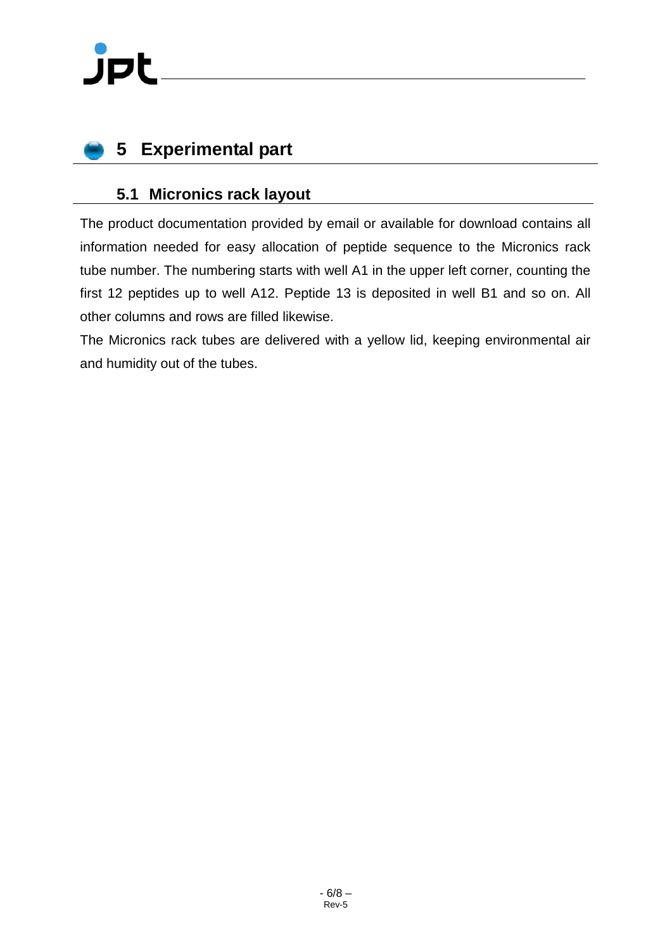## <span id="page-5-0"></span>**5 Experimental part**

#### <span id="page-5-1"></span>**5.1 Micronics rack layout**

The product documentation provided by email or available for download contains all information needed for easy allocation of peptide sequence to the Micronics rack tube number. The numbering starts with well A1 in the upper left corner, counting the first 12 peptides up to well A12. Peptide 13 is deposited in well B1 and so on. All other columns and rows are filled likewise.

The Micronics rack tubes are delivered with a yellow lid, keeping environmental air and humidity out of the tubes.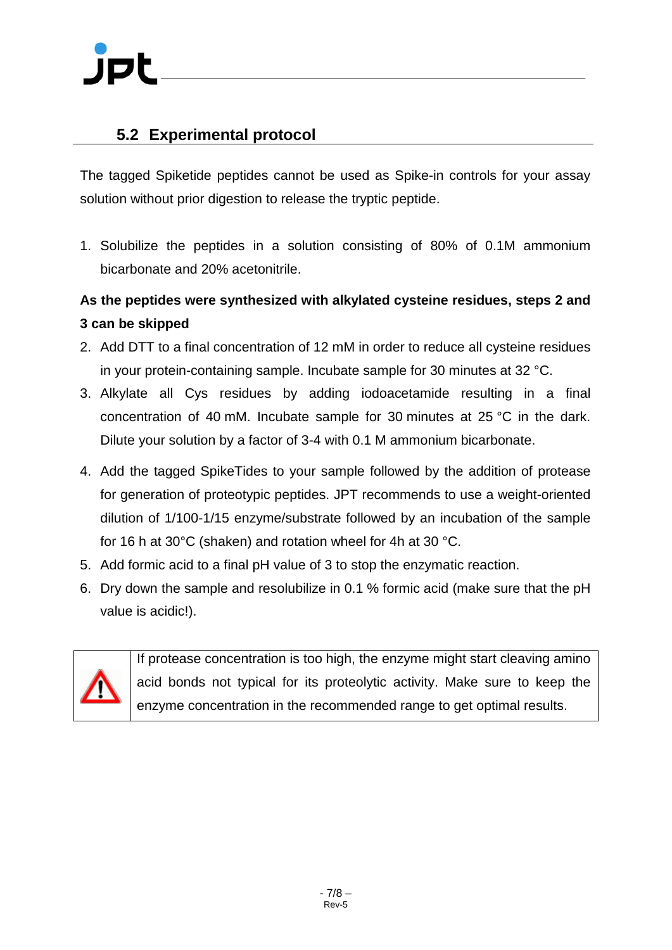#### <span id="page-6-0"></span>**5.2 Experimental protocol**

The tagged Spiketide peptides cannot be used as Spike-in controls for your assay solution without prior digestion to release the tryptic peptide.

1. Solubilize the peptides in a solution consisting of 80% of 0.1M ammonium bicarbonate and 20% acetonitrile.

#### **As the peptides were synthesized with alkylated cysteine residues, steps 2 and 3 can be skipped**

- 2. Add DTT to a final concentration of 12 mM in order to reduce all cysteine residues in your protein-containing sample. Incubate sample for 30 minutes at 32 °C.
- 3. Alkylate all Cys residues by adding iodoacetamide resulting in a final concentration of 40 mM. Incubate sample for 30 minutes at 25 °C in the dark. Dilute your solution by a factor of 3-4 with 0.1 M ammonium bicarbonate.
- 4. Add the tagged SpikeTides to your sample followed by the addition of protease for generation of proteotypic peptides. JPT recommends to use a weight-oriented dilution of 1/100-1/15 enzyme/substrate followed by an incubation of the sample for 16 h at 30°C (shaken) and rotation wheel for 4h at 30 °C.
- 5. Add formic acid to a final pH value of 3 to stop the enzymatic reaction.
- 6. Dry down the sample and resolubilize in 0.1 % formic acid (make sure that the pH value is acidic!).



If protease concentration is too high, the enzyme might start cleaving amino acid bonds not typical for its proteolytic activity. Make sure to keep the enzyme concentration in the recommended range to get optimal results.